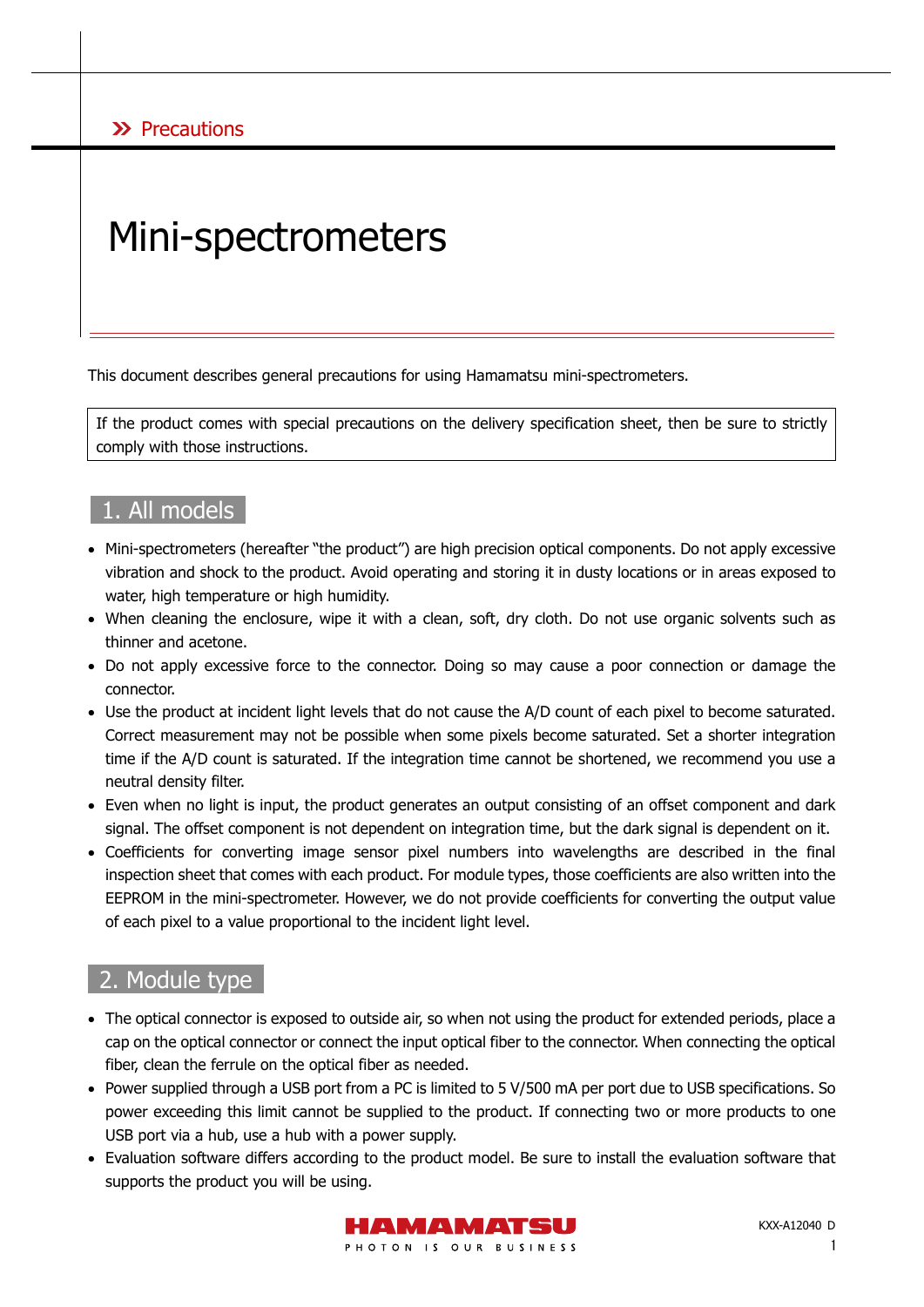### X Precautions

# Mini-spectrometers

This document describes general precautions for using Hamamatsu mini-spectrometers.

If the product comes with special precautions on the delivery specification sheet, then be sure to strictly comply with those instructions.

## 1. All models

- Mini-spectrometers (hereafter "the product") are high precision optical components. Do not apply excessive vibration and shock to the product. Avoid operating and storing it in dusty locations or in areas exposed to water, high temperature or high humidity.
- When cleaning the enclosure, wipe it with a clean, soft, dry cloth. Do not use organic solvents such as thinner and acetone.
- Do not apply excessive force to the connector. Doing so may cause a poor connection or damage the connector.
- Use the product at incident light levels that do not cause the A/D count of each pixel to become saturated. Correct measurement may not be possible when some pixels become saturated. Set a shorter integration time if the A/D count is saturated. If the integration time cannot be shortened, we recommend you use a neutral density filter.
- Even when no light is input, the product generates an output consisting of an offset component and dark signal. The offset component is not dependent on integration time, but the dark signal is dependent on it.
- Coefficients for converting image sensor pixel numbers into wavelengths are described in the final inspection sheet that comes with each product. For module types, those coefficients are also written into the EEPROM in the mini-spectrometer. However, we do not provide coefficients for converting the output value of each pixel to a value proportional to the incident light level.

# 2. Module type

- The optical connector is exposed to outside air, so when not using the product for extended periods, place a cap on the optical connector or connect the input optical fiber to the connector. When connecting the optical fiber, clean the ferrule on the optical fiber as needed.
- Power supplied through a USB port from a PC is limited to 5 V/500 mA per port due to USB specifications. So power exceeding this limit cannot be supplied to the product. If connecting two or more products to one USB port via a hub, use a hub with a power supply.
- Evaluation software differs according to the product model. Be sure to install the evaluation software that supports the product you will be using.

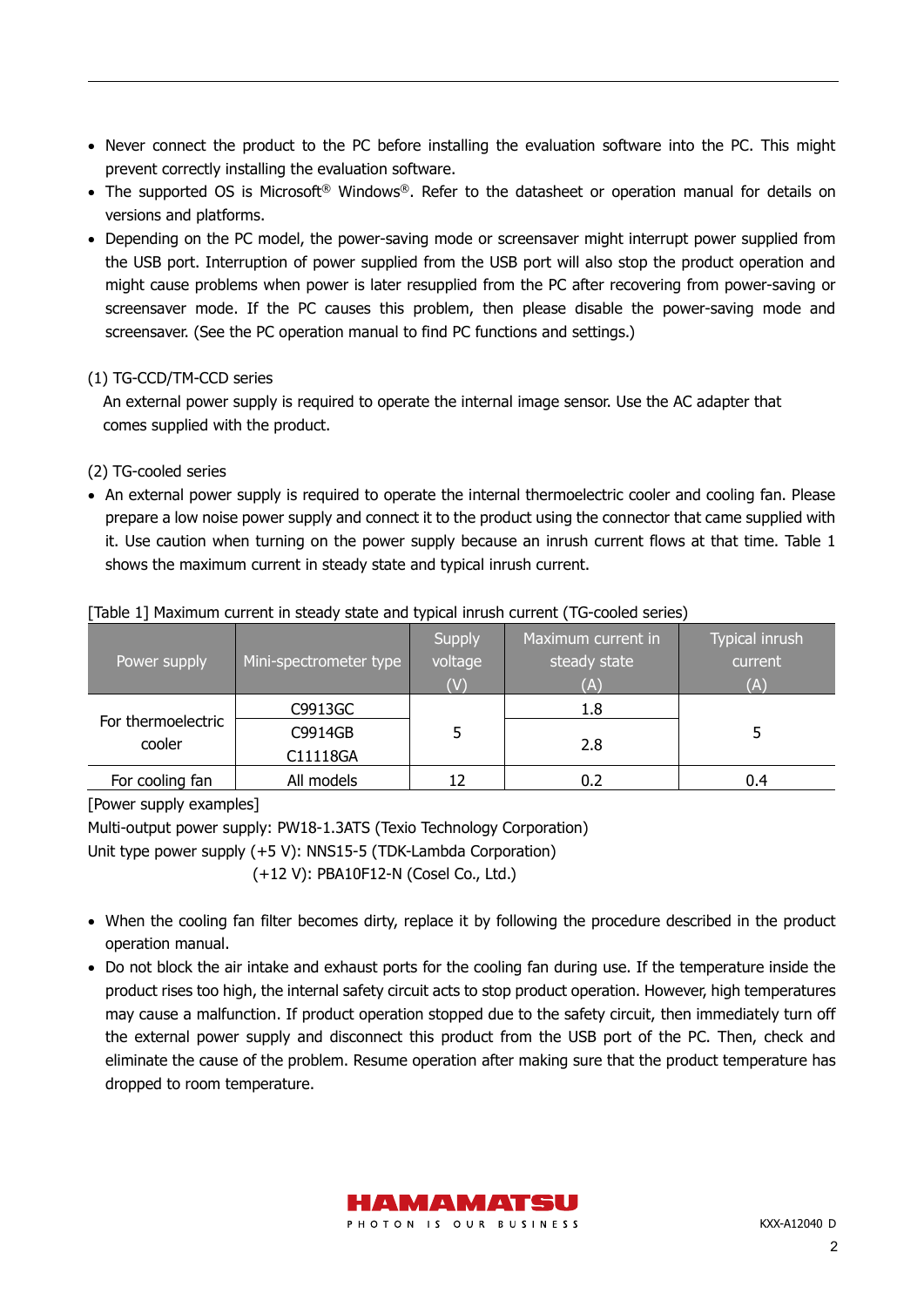- Never connect the product to the PC before installing the evaluation software into the PC. This might prevent correctly installing the evaluation software.
- The supported OS is Microsoft<sup>®</sup> Windows<sup>®</sup>. Refer to the datasheet or operation manual for details on versions and platforms.
- Depending on the PC model, the power-saving mode or screensaver might interrupt power supplied from the USB port. Interruption of power supplied from the USB port will also stop the product operation and might cause problems when power is later resupplied from the PC after recovering from power-saving or screensaver mode. If the PC causes this problem, then please disable the power-saving mode and screensaver. (See the PC operation manual to find PC functions and settings.)

#### (1) TG-CCD/TM-CCD series

An external power supply is required to operate the internal image sensor. Use the AC adapter that comes supplied with the product.

- (2) TG-cooled series
- An external power supply is required to operate the internal thermoelectric cooler and cooling fan. Please prepare a low noise power supply and connect it to the product using the connector that came supplied with it. Use caution when turning on the power supply because an inrush current flows at that time. Table 1 shows the maximum current in steady state and typical inrush current.

| Power supply                 | Mini-spectrometer type | <b>Supply</b><br>voltage<br>(V) | Maximum current in<br>steady state<br>Œ | Typical inrush<br>current<br>(A) |
|------------------------------|------------------------|---------------------------------|-----------------------------------------|----------------------------------|
| For thermoelectric<br>cooler | C9913GC                |                                 | 1.8                                     |                                  |
|                              | C9914GB                | 5                               | 2.8                                     |                                  |
|                              | C11118GA               |                                 |                                         |                                  |
| For cooling fan              | All models             |                                 | 0.2                                     | 0.4                              |

#### [Table 1] Maximum current in steady state and typical inrush current (TG-cooled series)

[Power supply examples]

Multi-output power supply: PW18-1.3ATS (Texio Technology Corporation)

Unit type power supply (+5 V): NNS15-5 (TDK-Lambda Corporation)

(+12 V): PBA10F12-N (Cosel Co., Ltd.)

- When the cooling fan filter becomes dirty, replace it by following the procedure described in the product operation manual.
- Do not block the air intake and exhaust ports for the cooling fan during use. If the temperature inside the product rises too high, the internal safety circuit acts to stop product operation. However, high temperatures may cause a malfunction. If product operation stopped due to the safety circuit, then immediately turn off the external power supply and disconnect this product from the USB port of the PC. Then, check and eliminate the cause of the problem. Resume operation after making sure that the product temperature has dropped to room temperature.

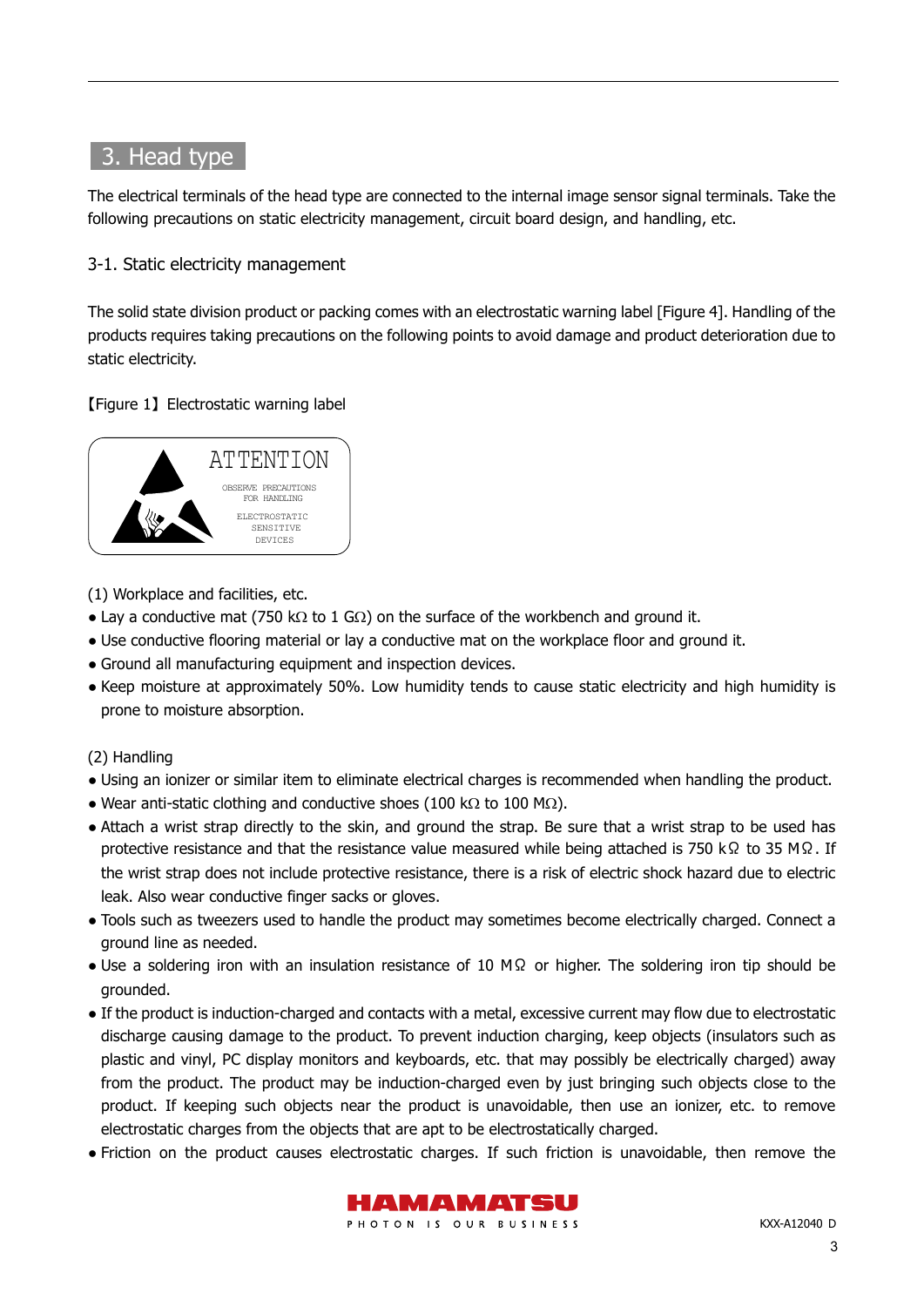## 3. Head type

The electrical terminals of the head type are connected to the internal image sensor signal terminals. Take the following precautions on static electricity management, circuit board design, and handling, etc.

#### 3-1. Static electricity management

The solid state division product or packing comes with an electrostatic warning label [Figure 4]. Handling of the products requires taking precautions on the following points to avoid damage and product deterioration due to static electricity.

#### 【Figure 1】 Electrostatic warning label



(1) Workplace and facilities, etc.

- Lay a conductive mat (750 kΩ to 1 GΩ) on the surface of the workbench and ground it.
- Use conductive flooring material or lay a conductive mat on the workplace floor and ground it.
- Ground all manufacturing equipment and inspection devices.
- Keep moisture at approximately 50%. Low humidity tends to cause static electricity and high humidity is prone to moisture absorption.

#### (2) Handling

- Using an ionizer or similar item to eliminate electrical charges is recommended when handling the product.
- Wear anti-static clothing and conductive shoes (100 kΩ to 100 MΩ).
- Attach a wrist strap directly to the skin, and ground the strap. Be sure that a wrist strap to be used has protective resistance and that the resistance value measured while being attached is 750 kΩ to 35 MΩ. If the wrist strap does not include protective resistance, there is a risk of electric shock hazard due to electric leak. Also wear conductive finger sacks or gloves.
- Tools such as tweezers used to handle the product may sometimes become electrically charged. Connect a ground line as needed.
- Use a soldering iron with an insulation resistance of 10 MΩ or higher. The soldering iron tip should be grounded.
- If the product is induction-charged and contacts with a metal, excessive current may flow due to electrostatic discharge causing damage to the product. To prevent induction charging, keep objects (insulators such as plastic and vinyl, PC display monitors and keyboards, etc. that may possibly be electrically charged) away from the product. The product may be induction-charged even by just bringing such objects close to the product. If keeping such objects near the product is unavoidable, then use an ionizer, etc. to remove electrostatic charges from the objects that are apt to be electrostatically charged.
- Friction on the product causes electrostatic charges. If such friction is unavoidable, then remove the

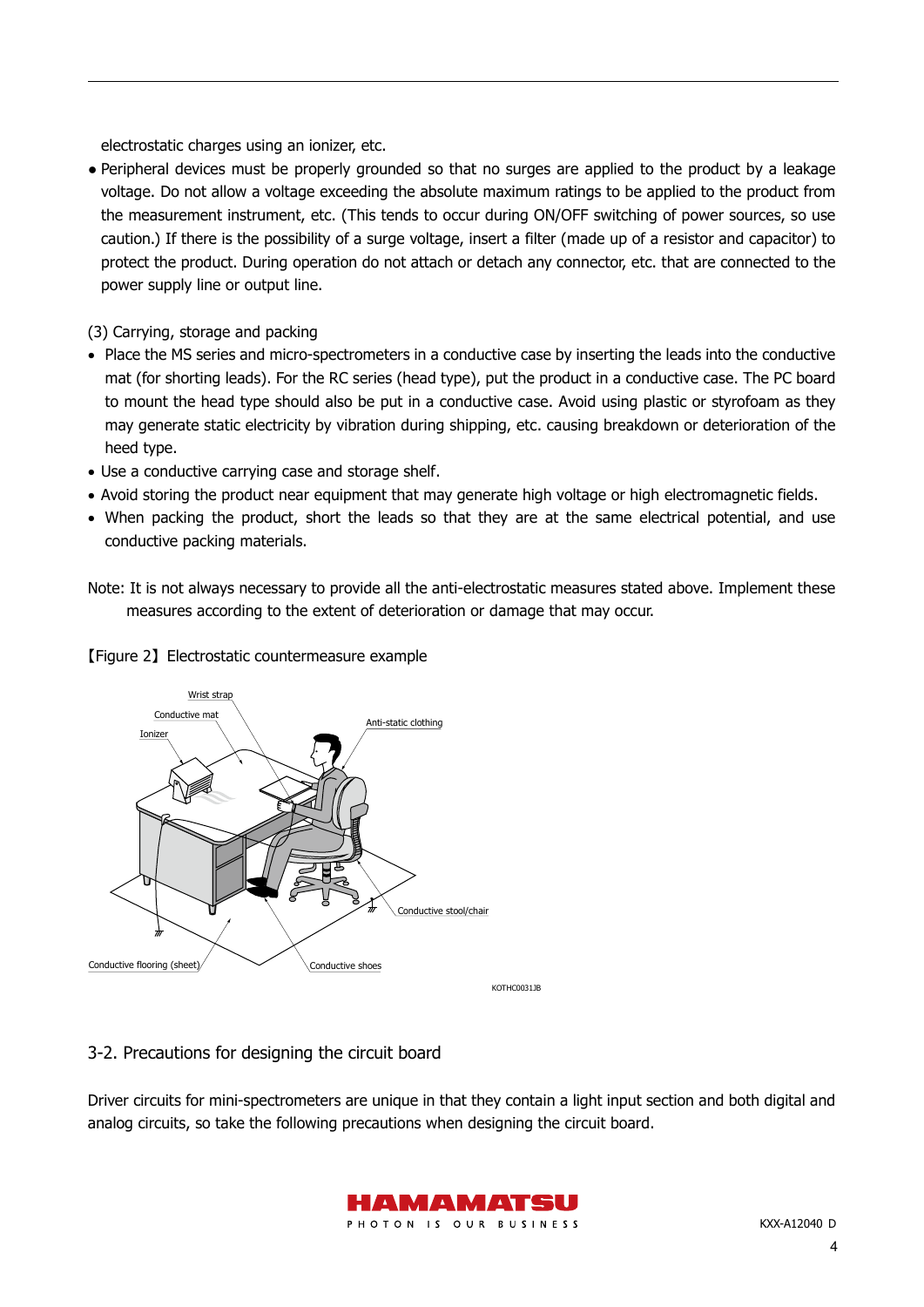electrostatic charges using an ionizer, etc.

- Peripheral devices must be properly grounded so that no surges are applied to the product by a leakage voltage. Do not allow a voltage exceeding the absolute maximum ratings to be applied to the product from the measurement instrument, etc. (This tends to occur during ON/OFF switching of power sources, so use caution.) If there is the possibility of a surge voltage, insert a filter (made up of a resistor and capacitor) to protect the product. During operation do not attach or detach any connector, etc. that are connected to the power supply line or output line.
- (3) Carrying, storage and packing
- Place the MS series and micro-spectrometers in a conductive case by inserting the leads into the conductive mat (for shorting leads). For the RC series (head type), put the product in a conductive case. The PC board to mount the head type should also be put in a conductive case. Avoid using plastic or styrofoam as they may generate static electricity by vibration during shipping, etc. causing breakdown or deterioration of the heed type.
- Use a conductive carrying case and storage shelf.
- Avoid storing the product near equipment that may generate high voltage or high electromagnetic fields.
- When packing the product, short the leads so that they are at the same electrical potential, and use conductive packing materials.
- Note: It is not always necessary to provide all the anti-electrostatic measures stated above. Implement these measures according to the extent of deterioration or damage that may occur.



#### 【Figure 2】 Electrostatic countermeasure example

#### 3-2. Precautions for designing the circuit board

Driver circuits for mini-spectrometers are unique in that they contain a light input section and both digital and analog circuits, so take the following precautions when designing the circuit board.

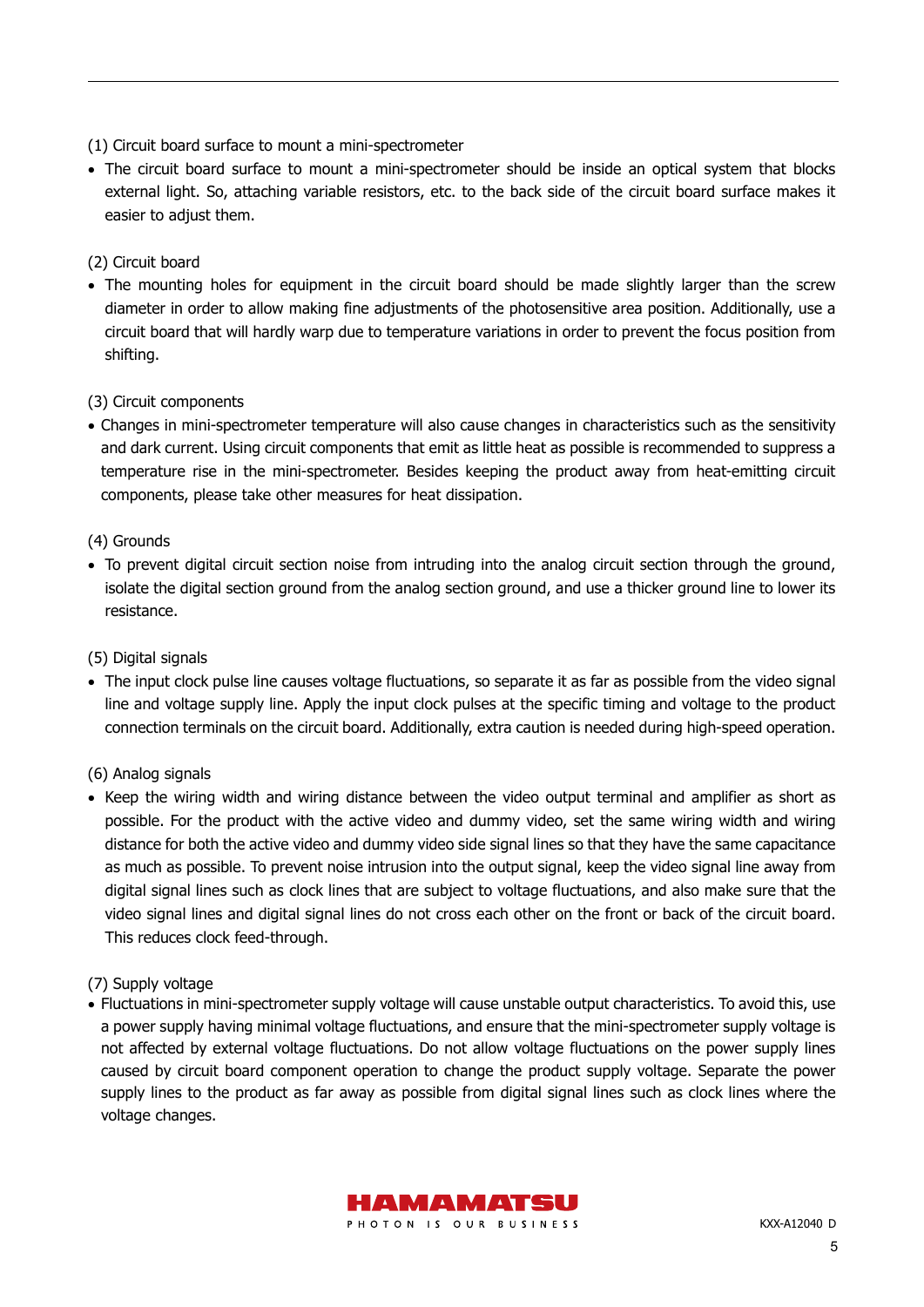- (1) Circuit board surface to mount a mini-spectrometer
- The circuit board surface to mount a mini-spectrometer should be inside an optical system that blocks external light. So, attaching variable resistors, etc. to the back side of the circuit board surface makes it easier to adjust them.

#### (2) Circuit board

• The mounting holes for equipment in the circuit board should be made slightly larger than the screw diameter in order to allow making fine adjustments of the photosensitive area position. Additionally, use a circuit board that will hardly warp due to temperature variations in order to prevent the focus position from shifting.

#### (3) Circuit components

• Changes in mini-spectrometer temperature will also cause changes in characteristics such as the sensitivity and dark current. Using circuit components that emit as little heat as possible is recommended to suppress a temperature rise in the mini-spectrometer. Besides keeping the product away from heat-emitting circuit components, please take other measures for heat dissipation.

#### (4) Grounds

• To prevent digital circuit section noise from intruding into the analog circuit section through the ground, isolate the digital section ground from the analog section ground, and use a thicker ground line to lower its resistance.

#### (5) Digital signals

• The input clock pulse line causes voltage fluctuations, so separate it as far as possible from the video signal line and voltage supply line. Apply the input clock pulses at the specific timing and voltage to the product connection terminals on the circuit board. Additionally, extra caution is needed during high-speed operation.

#### (6) Analog signals

• Keep the wiring width and wiring distance between the video output terminal and amplifier as short as possible. For the product with the active video and dummy video, set the same wiring width and wiring distance for both the active video and dummy video side signal lines so that they have the same capacitance as much as possible. To prevent noise intrusion into the output signal, keep the video signal line away from digital signal lines such as clock lines that are subject to voltage fluctuations, and also make sure that the video signal lines and digital signal lines do not cross each other on the front or back of the circuit board. This reduces clock feed-through.

#### (7) Supply voltage

• Fluctuations in mini-spectrometer supply voltage will cause unstable output characteristics. To avoid this, use a power supply having minimal voltage fluctuations, and ensure that the mini-spectrometer supply voltage is not affected by external voltage fluctuations. Do not allow voltage fluctuations on the power supply lines caused by circuit board component operation to change the product supply voltage. Separate the power supply lines to the product as far away as possible from digital signal lines such as clock lines where the voltage changes.

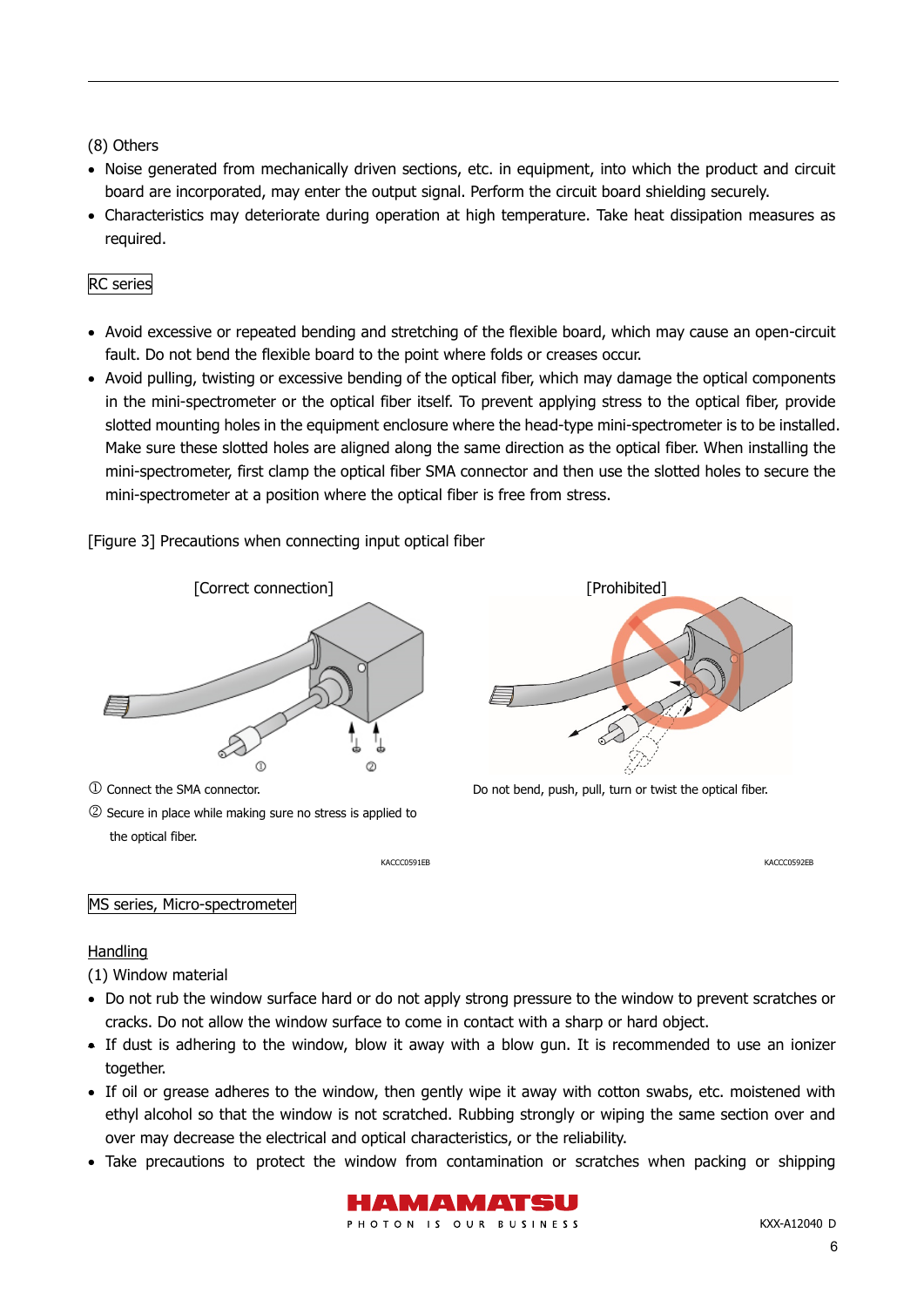#### (8) Others

- Noise generated from mechanically driven sections, etc. in equipment, into which the product and circuit board are incorporated, may enter the output signal. Perform the circuit board shielding securely.
- Characteristics may deteriorate during operation at high temperature. Take heat dissipation measures as required.

#### RC series

- Avoid excessive or repeated bending and stretching of the flexible board, which may cause an open-circuit fault. Do not bend the flexible board to the point where folds or creases occur.
- Avoid pulling, twisting or excessive bending of the optical fiber, which may damage the optical components in the mini-spectrometer or the optical fiber itself. To prevent applying stress to the optical fiber, provide slotted mounting holes in the equipment enclosure where the head-type mini-spectrometer is to be installed. Make sure these slotted holes are aligned along the same direction as the optical fiber. When installing the mini-spectrometer, first clamp the optical fiber SMA connector and then use the slotted holes to secure the mini-spectrometer at a position where the optical fiber is free from stress.

[Figure 3] Precautions when connecting input optical fiber



 Secure in place while making sure no stress is applied to the optical fiber.



Connect the SMA connector. Do not bend, push, pull, turn or twist the optical fiber.

KACCC0591EB KACCC0592EB

MS series, Micro-spectrometer

#### Handling

(1) Window material

- Do not rub the window surface hard or do not apply strong pressure to the window to prevent scratches or cracks. Do not allow the window surface to come in contact with a sharp or hard object.
- If dust is adhering to the window, blow it away with a blow gun. It is recommended to use an ionizer together.
- If oil or grease adheres to the window, then gently wipe it away with cotton swabs, etc. moistened with ethyl alcohol so that the window is not scratched. Rubbing strongly or wiping the same section over and over may decrease the electrical and optical characteristics, or the reliability.
- Take precautions to protect the window from contamination or scratches when packing or shipping

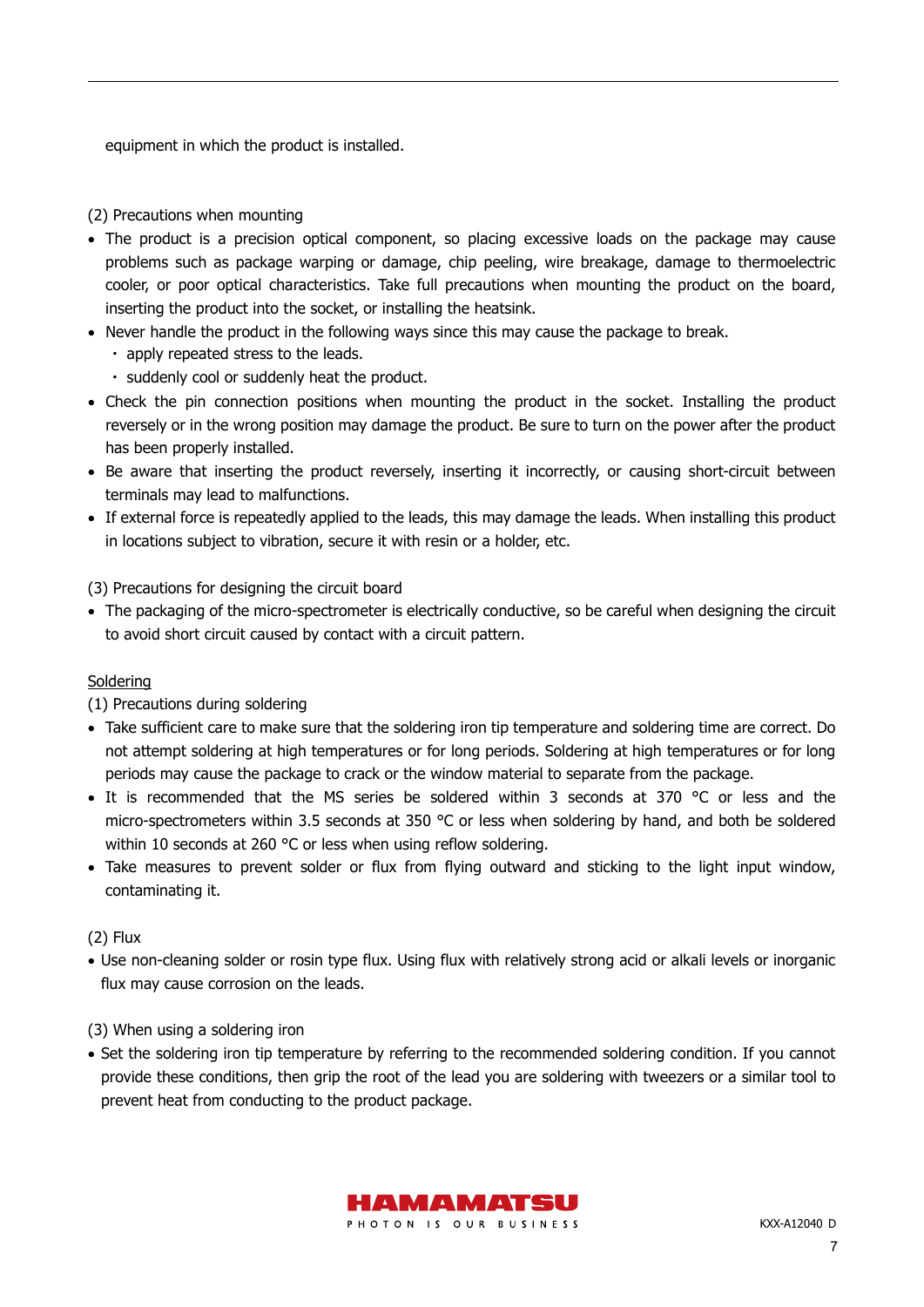equipment in which the product is installed.

#### (2) Precautions when mounting

- The product is a precision optical component, so placing excessive loads on the package may cause problems such as package warping or damage, chip peeling, wire breakage, damage to thermoelectric cooler, or poor optical characteristics. Take full precautions when mounting the product on the board, inserting the product into the socket, or installing the heatsink.
- Never handle the product in the following ways since this may cause the package to break.
	- ・ apply repeated stress to the leads.
	- ・ suddenly cool or suddenly heat the product.
- Check the pin connection positions when mounting the product in the socket. Installing the product reversely or in the wrong position may damage the product. Be sure to turn on the power after the product has been properly installed.
- Be aware that inserting the product reversely, inserting it incorrectly, or causing short-circuit between terminals may lead to malfunctions.
- If external force is repeatedly applied to the leads, this may damage the leads. When installing this product in locations subject to vibration, secure it with resin or a holder, etc.

(3) Precautions for designing the circuit board

• The packaging of the micro-spectrometer is electrically conductive, so be careful when designing the circuit to avoid short circuit caused by contact with a circuit pattern.

#### Soldering

(1) Precautions during soldering

- Take sufficient care to make sure that the soldering iron tip temperature and soldering time are correct. Do not attempt soldering at high temperatures or for long periods. Soldering at high temperatures or for long periods may cause the package to crack or the window material to separate from the package.
- It is recommended that the MS series be soldered within 3 seconds at 370 °C or less and the micro-spectrometers within 3.5 seconds at 350 °C or less when soldering by hand, and both be soldered within 10 seconds at 260 °C or less when using reflow soldering.
- Take measures to prevent solder or flux from flying outward and sticking to the light input window, contaminating it.

(2) Flux

• Use non-cleaning solder or rosin type flux. Using flux with relatively strong acid or alkali levels or inorganic flux may cause corrosion on the leads.

(3) When using a soldering iron

• Set the soldering iron tip temperature by referring to the recommended soldering condition. If you cannot provide these conditions, then grip the root of the lead you are soldering with tweezers or a similar tool to prevent heat from conducting to the product package.